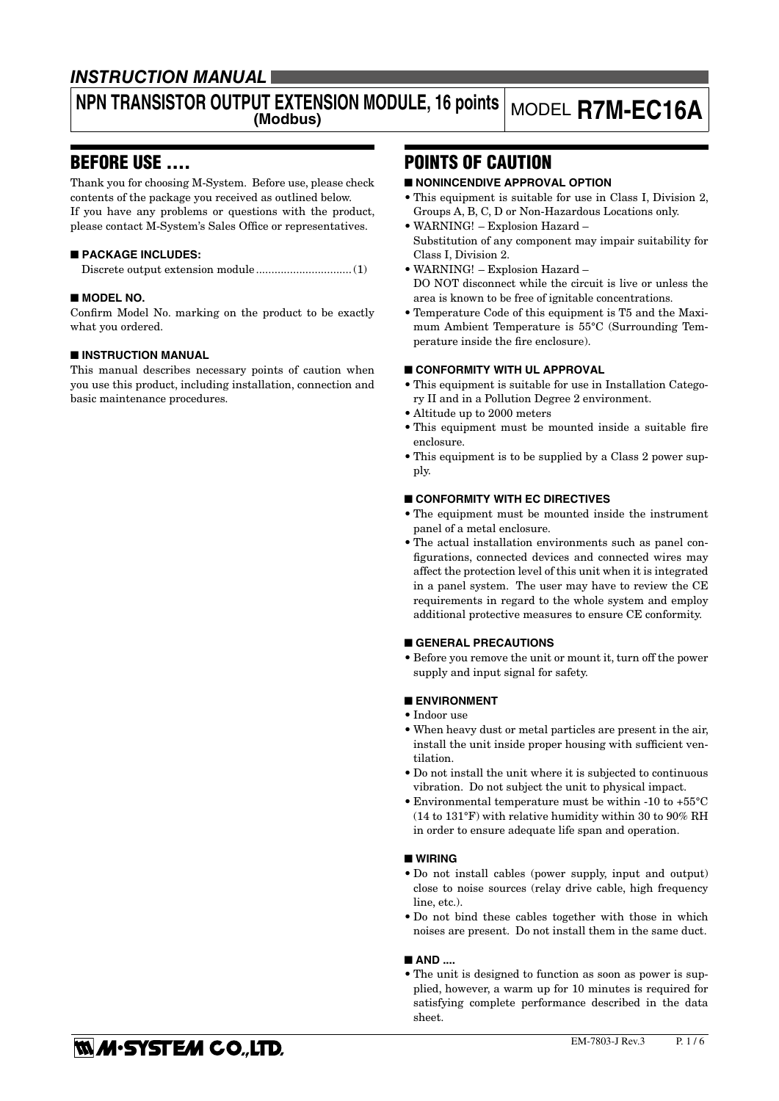## **INSTRUCTION MANUAL**

### **NPN TRANSISTOR OUTPUT EXTENSION MODULE, 16 points (Modbus)** MODEL **R7M-EC16A**

## BEFORE USE ....

Thank you for choosing M-System. Before use, please check contents of the package you received as outlined below. If you have any problems or questions with the product, please contact M-System's Sales Office or representatives.

### ■ **PACKAGE INCLUDES:**

Discrete output extension module...............................(1)

### ■ **MODEL NO.**

Confirm Model No. marking on the product to be exactly what you ordered.

### ■ **INSTRUCTION MANUAL**

This manual describes necessary points of caution when you use this product, including installation, connection and basic maintenance procedures.

# POINTS OF CAUTION

### ■ **NONINCENDIVE APPROVAL OPTION**

- This equipment is suitable for use in Class I, Division 2, Groups A, B, C, D or Non-Hazardous Locations only.
- WARNING! Explosion Hazard Substitution of any component may impair suitability for Class I, Division 2.
- WARNING! Explosion Hazard DO NOT disconnect while the circuit is live or unless the area is known to be free of ignitable concentrations.
- Temperature Code of this equipment is T5 and the Maximum Ambient Temperature is 55°C (Surrounding Temperature inside the fire enclosure).

### ■ **CONFORMITY WITH UL APPROVAL**

- This equipment is suitable for use in Installation Category II and in a Pollution Degree 2 environment.
- Altitude up to 2000 meters
- This equipment must be mounted inside a suitable fire enclosure.
- This equipment is to be supplied by a Class 2 power supply.

### ■ **CONFORMITY WITH EC DIRECTIVES**

- The equipment must be mounted inside the instrument panel of a metal enclosure.
- The actual installation environments such as panel configurations, connected devices and connected wires may affect the protection level of this unit when it is integrated in a panel system. The user may have to review the CE requirements in regard to the whole system and employ additional protective measures to ensure CE conformity.

#### ■ **GENERAL PRECAUTIONS**

• Before you remove the unit or mount it, turn off the power supply and input signal for safety.

### ■ **ENVIRONMENT**

- Indoor use
- When heavy dust or metal particles are present in the air, install the unit inside proper housing with sufficient ventilation.
- Do not install the unit where it is subjected to continuous vibration. Do not subject the unit to physical impact.
- Environmental temperature must be within -10 to +55°C (14 to 131°F) with relative humidity within 30 to 90% RH in order to ensure adequate life span and operation.

### ■ **WIRING**

- Do not install cables (power supply, input and output) close to noise sources (relay drive cable, high frequency line, etc.).
- Do not bind these cables together with those in which noises are present. Do not install them in the same duct.

#### ■ AND ....

• The unit is designed to function as soon as power is supplied, however, a warm up for 10 minutes is required for satisfying complete performance described in the data sheet.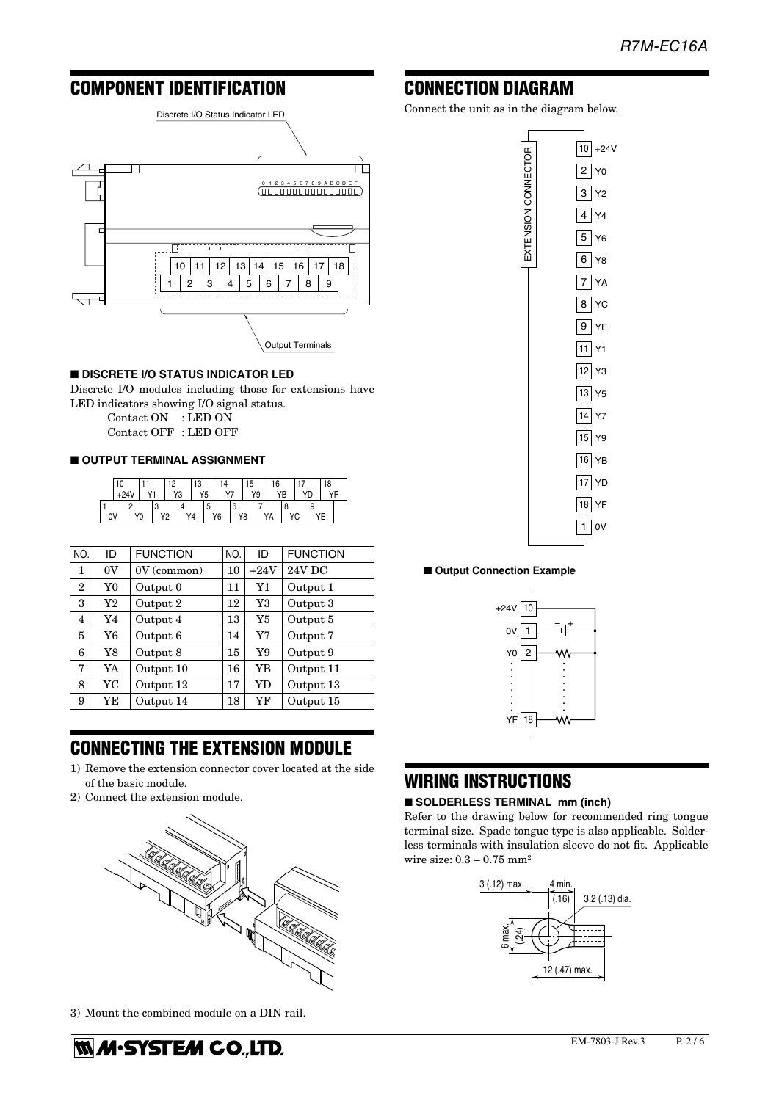# COMPONENT IDENTIFICATION



### ■ **DISCRETE I/O STATUS INDICATOR LED**

Discrete I/O modules including those for extensions have LED indicators showing I/O signal status.

Contact ON : LED ON

Contact OFF : LED OFF

### ■ **OUTPUT TERMINAL ASSIGNMENT**

| 10 |  |  |    | ŋ  |    | 3 |    |  |         | ۵، |    | 16 |   |  |   | 18 |  |
|----|--|--|----|----|----|---|----|--|---------|----|----|----|---|--|---|----|--|
|    |  |  |    | Y3 |    |   | Y5 |  |         |    | Y9 |    |   |  |   |    |  |
| 0V |  |  | vŋ |    | Y4 |   | Y6 |  | 6<br>Y8 |    | Δ  |    | o |  | Q |    |  |

| NO.            | ID | <b>FUNCTION</b> | NO. | ID     | <b>FUNCTION</b> |
|----------------|----|-----------------|-----|--------|-----------------|
| 1              | 0V | $0V$ (common)   | 10  | $+24V$ | 24V DC          |
| $\overline{2}$ | Y0 | Output 0        | 11  | Y1     | Output 1        |
| 3              | Y2 | Output 2        | 12  | Y3     | Output 3        |
| 4              | Y4 | Output 4        | 13  | Y5     | Output 5        |
| 5              | Y6 | Output 6        | 14  | Y7     | Output 7        |
| 6              | Y8 | Output 8        | 15  | Y9     | Output 9        |
| 7              | YA | Output 10       | 16  | YB     | Output 11       |
| 8              | YC | Output 12       | 17  | YD     | Output 13       |
| 9              | YE | Output 14       | 18  | YF     | Output 15       |

# CONNECTING THE EXTENSION MODULE

- 1) Remove the extension connector cover located at the side of the basic module.
- 2) Connect the extension module.



3) Mount the combined module on a DIN rail.

**MM·SYSTEM CO.,LTD.** 

### CONNECTION DIAGRAM

Connect the unit as in the diagram below.



■ Output Connection Example



## WIRING INSTRUCTIONS

#### ■ **SOLDERLESS TERMINAL** mm (inch)

Refer to the drawing below for recommended ring tongue terminal size. Spade tongue type is also applicable. Solderless terminals with insulation sleeve do not fit. Applicable wire size:  $0.3 - 0.75$  mm<sup>2</sup>

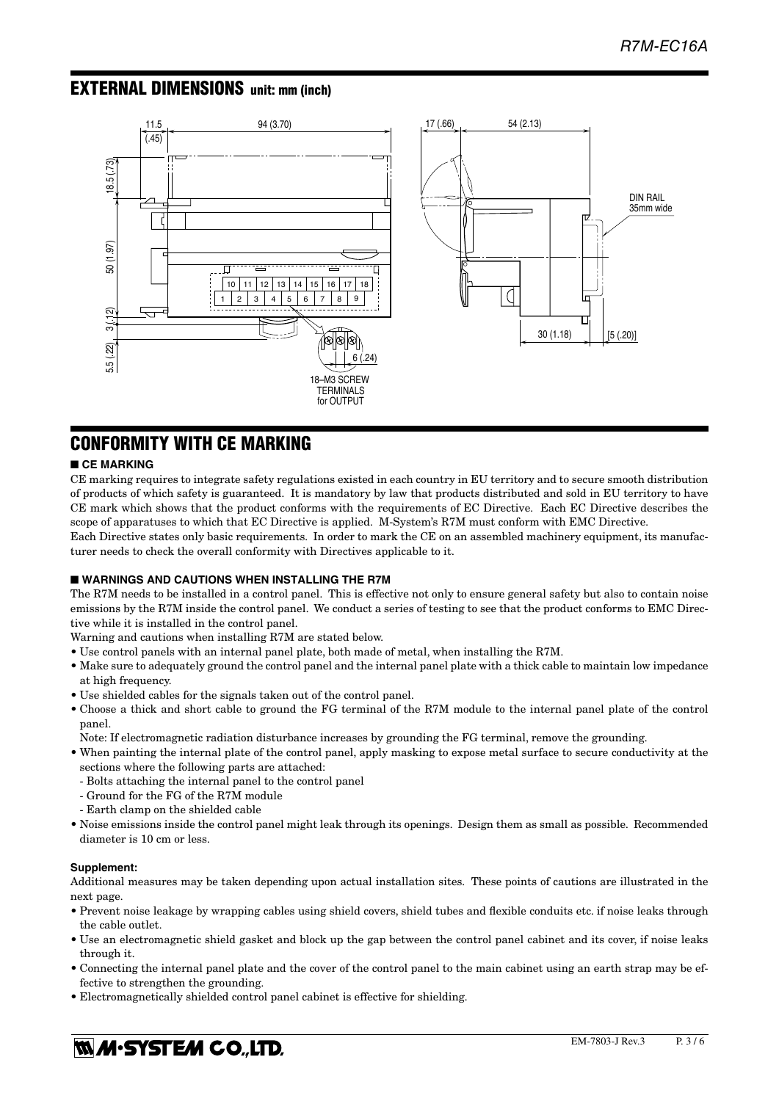## EXTERNAL DIMENSIONS unit: mm (inch)



## CONFORMITY WITH CE MARKING

### ■ **CE MARKING**

CE marking requires to integrate safety regulations existed in each country in EU territory and to secure smooth distribution of products of which safety is guaranteed. It is mandatory by law that products distributed and sold in EU territory to have CE mark which shows that the product conforms with the requirements of EC Directive. Each EC Directive describes the scope of apparatuses to which that EC Directive is applied. M-System's R7M must conform with EMC Directive.

Each Directive states only basic requirements. In order to mark the CE on an assembled machinery equipment, its manufacturer needs to check the overall conformity with Directives applicable to it.

### ■ **WARNINGS AND CAUTIONS WHEN INSTALLING THE R7M**

The R7M needs to be installed in a control panel. This is effective not only to ensure general safety but also to contain noise emissions by the R7M inside the control panel. We conduct a series of testing to see that the product conforms to EMC Directive while it is installed in the control panel.

- Warning and cautions when installing R7M are stated below.
- Use control panels with an internal panel plate, both made of metal, when installing the R7M.
- Make sure to adequately ground the control panel and the internal panel plate with a thick cable to maintain low impedance at high frequency.
- Use shielded cables for the signals taken out of the control panel.
- Choose a thick and short cable to ground the FG terminal of the R7M module to the internal panel plate of the control panel.
- Note: If electromagnetic radiation disturbance increases by grounding the FG terminal, remove the grounding.
- When painting the internal plate of the control panel, apply masking to expose metal surface to secure conductivity at the sections where the following parts are attached:
- Bolts attaching the internal panel to the control panel
- Ground for the FG of the R7M module
- Earth clamp on the shielded cable
- Noise emissions inside the control panel might leak through its openings. Design them as small as possible. Recommended diameter is 10 cm or less.

### **Supplement:**

Additional measures may be taken depending upon actual installation sites. These points of cautions are illustrated in the next page.

- Prevent noise leakage by wrapping cables using shield covers, shield tubes and flexible conduits etc. if noise leaks through the cable outlet.
- Use an electromagnetic shield gasket and block up the gap between the control panel cabinet and its cover, if noise leaks through it.
- Connecting the internal panel plate and the cover of the control panel to the main cabinet using an earth strap may be effective to strengthen the grounding.
- Electromagnetically shielded control panel cabinet is effective for shielding.

# **WA-SYSTEM CO.,LTD.**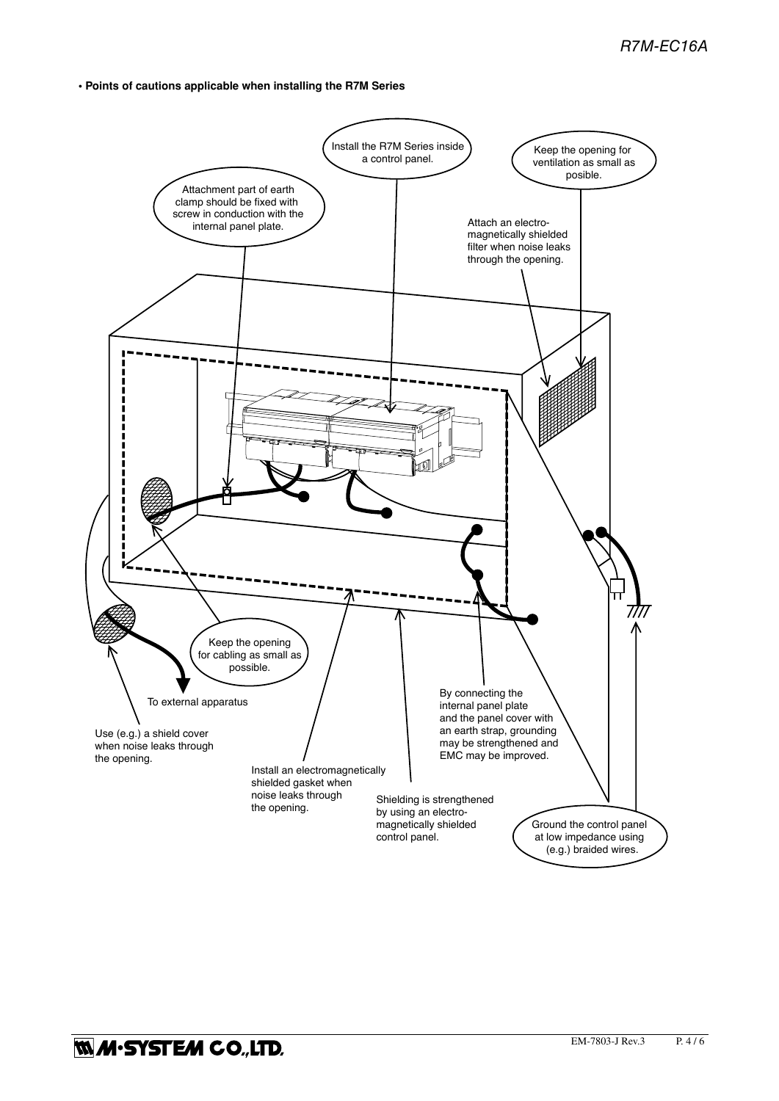**• Points of cautions applicable when installing the R7M Series**

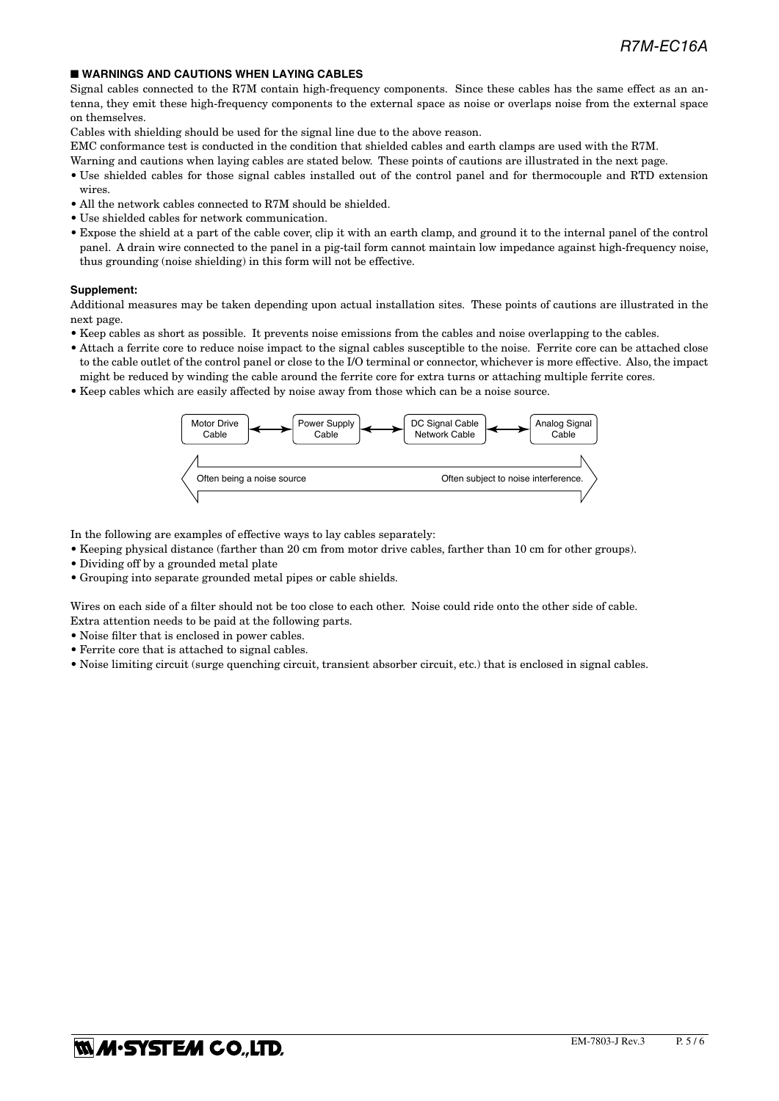### ■ **WARNINGS AND CAUTIONS WHEN LAYING CABLES**

Signal cables connected to the R7M contain high-frequency components. Since these cables has the same effect as an antenna, they emit these high-frequency components to the external space as noise or overlaps noise from the external space on themselves.

Cables with shielding should be used for the signal line due to the above reason.

EMC conformance test is conducted in the condition that shielded cables and earth clamps are used with the R7M.

Warning and cautions when laying cables are stated below. These points of cautions are illustrated in the next page.

- Use shielded cables for those signal cables installed out of the control panel and for thermocouple and RTD extension wires.
- All the network cables connected to R7M should be shielded.
- Use shielded cables for network communication.
- Expose the shield at a part of the cable cover, clip it with an earth clamp, and ground it to the internal panel of the control panel. A drain wire connected to the panel in a pig-tail form cannot maintain low impedance against high-frequency noise, thus grounding (noise shielding) in this form will not be effective.

#### **Supplement:**

Additional measures may be taken depending upon actual installation sites. These points of cautions are illustrated in the next page.

- Keep cables as short as possible. It prevents noise emissions from the cables and noise overlapping to the cables.
- Attach a ferrite core to reduce noise impact to the signal cables susceptible to the noise. Ferrite core can be attached close to the cable outlet of the control panel or close to the I/O terminal or connector, whichever is more effective. Also, the impact might be reduced by winding the cable around the ferrite core for extra turns or attaching multiple ferrite cores.
- Keep cables which are easily affected by noise away from those which can be a noise source.



In the following are examples of effective ways to lay cables separately:

- Keeping physical distance (farther than 20 cm from motor drive cables, farther than 10 cm for other groups).
- Dividing off by a grounded metal plate
- Grouping into separate grounded metal pipes or cable shields.

Wires on each side of a filter should not be too close to each other. Noise could ride onto the other side of cable. Extra attention needs to be paid at the following parts.

• Noise filter that is enclosed in power cables.

- Ferrite core that is attached to signal cables.
- Noise limiting circuit (surge quenching circuit, transient absorber circuit, etc.) that is enclosed in signal cables.